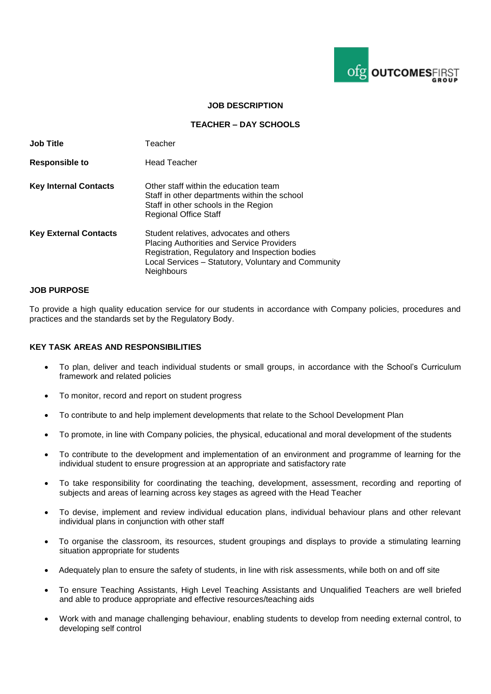

## **JOB DESCRIPTION**

### **TEACHER – DAY SCHOOLS**

| <b>Job Title</b>             | Teacher                                                                                                                                                                                                                   |
|------------------------------|---------------------------------------------------------------------------------------------------------------------------------------------------------------------------------------------------------------------------|
| <b>Responsible to</b>        | <b>Head Teacher</b>                                                                                                                                                                                                       |
| <b>Key Internal Contacts</b> | Other staff within the education team<br>Staff in other departments within the school<br>Staff in other schools in the Region<br><b>Regional Office Staff</b>                                                             |
| <b>Key External Contacts</b> | Student relatives, advocates and others<br><b>Placing Authorities and Service Providers</b><br>Registration, Regulatory and Inspection bodies<br>Local Services - Statutory, Voluntary and Community<br><b>Neighbours</b> |

#### **JOB PURPOSE**

To provide a high quality education service for our students in accordance with Company policies, procedures and practices and the standards set by the Regulatory Body.

## **KEY TASK AREAS AND RESPONSIBILITIES**

- To plan, deliver and teach individual students or small groups, in accordance with the School's Curriculum framework and related policies
- To monitor, record and report on student progress
- To contribute to and help implement developments that relate to the School Development Plan
- To promote, in line with Company policies, the physical, educational and moral development of the students
- To contribute to the development and implementation of an environment and programme of learning for the individual student to ensure progression at an appropriate and satisfactory rate
- To take responsibility for coordinating the teaching, development, assessment, recording and reporting of subjects and areas of learning across key stages as agreed with the Head Teacher
- To devise, implement and review individual education plans, individual behaviour plans and other relevant individual plans in conjunction with other staff
- To organise the classroom, its resources, student groupings and displays to provide a stimulating learning situation appropriate for students
- Adequately plan to ensure the safety of students, in line with risk assessments, while both on and off site
- To ensure Teaching Assistants, High Level Teaching Assistants and Unqualified Teachers are well briefed and able to produce appropriate and effective resources/teaching aids
- Work with and manage challenging behaviour, enabling students to develop from needing external control, to developing self control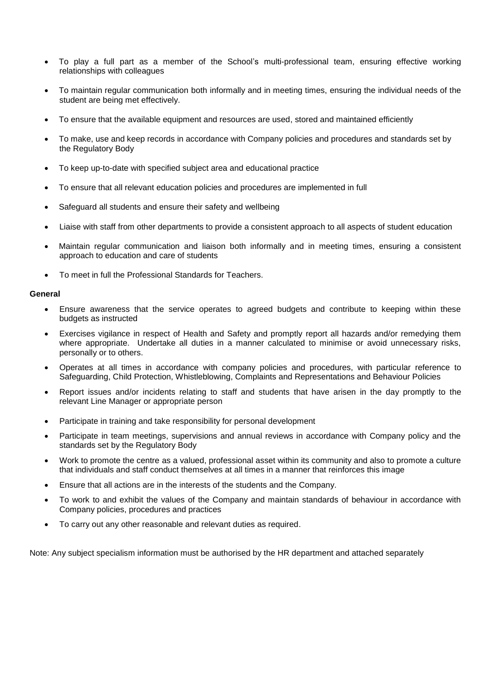- To play a full part as a member of the School's multi-professional team, ensuring effective working relationships with colleagues
- To maintain regular communication both informally and in meeting times, ensuring the individual needs of the student are being met effectively.
- To ensure that the available equipment and resources are used, stored and maintained efficiently
- To make, use and keep records in accordance with Company policies and procedures and standards set by the Regulatory Body
- To keep up-to-date with specified subject area and educational practice
- To ensure that all relevant education policies and procedures are implemented in full
- Safeguard all students and ensure their safety and wellbeing
- Liaise with staff from other departments to provide a consistent approach to all aspects of student education
- Maintain regular communication and liaison both informally and in meeting times, ensuring a consistent approach to education and care of students
- To meet in full the Professional Standards for Teachers.

#### **General**

- Ensure awareness that the service operates to agreed budgets and contribute to keeping within these budgets as instructed
- Exercises vigilance in respect of Health and Safety and promptly report all hazards and/or remedying them where appropriate. Undertake all duties in a manner calculated to minimise or avoid unnecessary risks, personally or to others.
- Operates at all times in accordance with company policies and procedures, with particular reference to Safeguarding, Child Protection, Whistleblowing, Complaints and Representations and Behaviour Policies
- Report issues and/or incidents relating to staff and students that have arisen in the day promptly to the relevant Line Manager or appropriate person
- Participate in training and take responsibility for personal development
- Participate in team meetings, supervisions and annual reviews in accordance with Company policy and the standards set by the Regulatory Body
- Work to promote the centre as a valued, professional asset within its community and also to promote a culture that individuals and staff conduct themselves at all times in a manner that reinforces this image
- Ensure that all actions are in the interests of the students and the Company.
- To work to and exhibit the values of the Company and maintain standards of behaviour in accordance with Company policies, procedures and practices
- To carry out any other reasonable and relevant duties as required.

Note: Any subject specialism information must be authorised by the HR department and attached separately